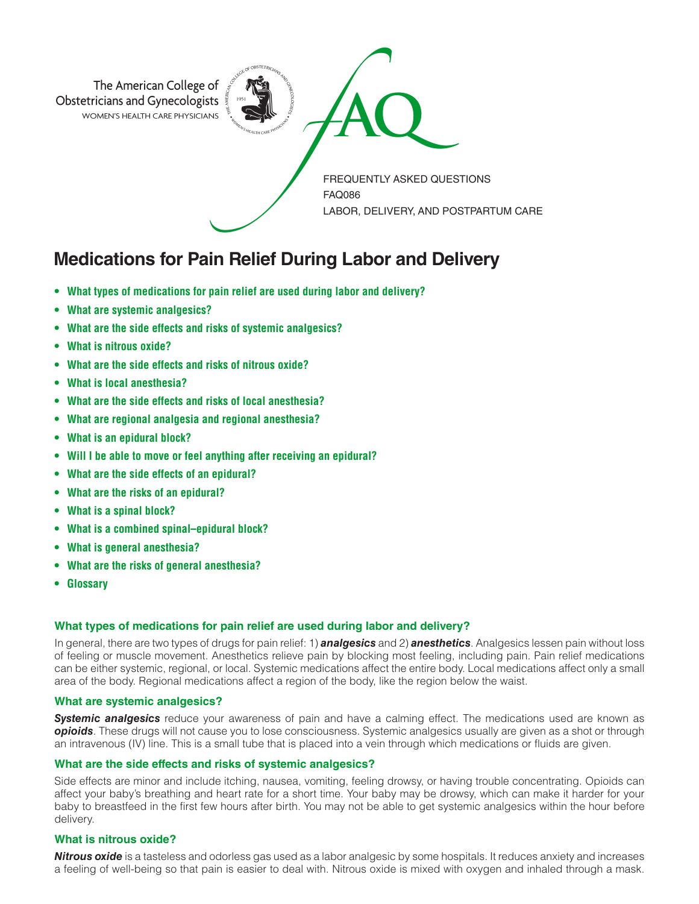

# **Medications for Pain Relief During Labor and Delivery**

- **What types of medications for pain relief are used during labor and delivery?**
- **What are systemic analgesics?**
- **What are the side effects and risks of systemic analgesics?**
- **What is nitrous oxide?**
- **What are the side effects and risks of nitrous oxide?**
- **What is local anesthesia?**
- **What are the side effects and risks of local anesthesia?**
- **What are regional analgesia and regional anesthesia?**
- **What is an epidural block?**
- **Will I be able to move or feel anything after receiving an epidural?**
- **What are the side effects of an epidural?**
- **What are the risks of an epidural?**
- **What is a spinal block?**
- **What is a combined spinal–epidural block?**
- **What is general anesthesia?**
- **What are the risks of general anesthesia?**
- **Glossary**

# **What types of medications for pain relief are used during labor and delivery?**

In general, there are two types of drugs for pain relief: 1) *analgesics* and 2) *anesthetics*. Analgesics lessen pain without loss of feeling or muscle movement. Anesthetics relieve pain by blocking most feeling, including pain. Pain relief medications can be either systemic, regional, or local. Systemic medications affect the entire body. Local medications affect only a small area of the body. Regional medications affect a region of the body, like the region below the waist.

# **What are systemic analgesics?**

**Systemic analgesics** reduce your awareness of pain and have a calming effect. The medications used are known as *opioids*. These drugs will not cause you to lose consciousness. Systemic analgesics usually are given as a shot or through an intravenous (IV) line. This is a small tube that is placed into a vein through which medications or fluids are given.

#### **What are the side effects and risks of systemic analgesics?**

Side effects are minor and include itching, nausea, vomiting, feeling drowsy, or having trouble concentrating. Opioids can affect your baby's breathing and heart rate for a short time. Your baby may be drowsy, which can make it harder for your baby to breastfeed in the first few hours after birth. You may not be able to get systemic analgesics within the hour before delivery.

# **What is nitrous oxide?**

*Nitrous oxide* is a tasteless and odorless gas used as a labor analgesic by some hospitals. It reduces anxiety and increases a feeling of well-being so that pain is easier to deal with. Nitrous oxide is mixed with oxygen and inhaled through a mask.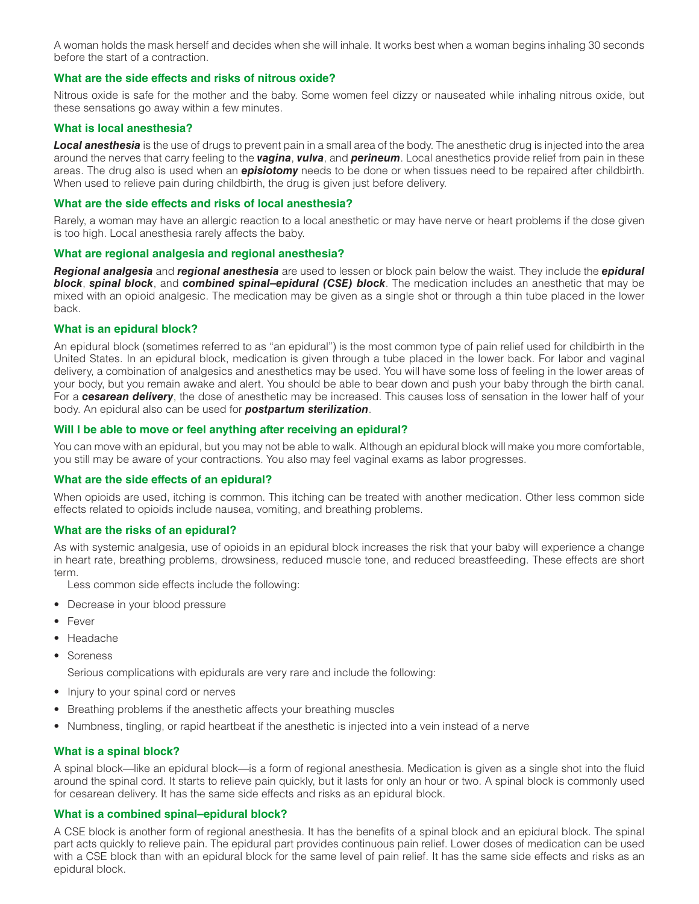A woman holds the mask herself and decides when she will inhale. It works best when a woman begins inhaling 30 seconds before the start of a contraction.

## **What are the side effects and risks of nitrous oxide?**

Nitrous oxide is safe for the mother and the baby. Some women feel dizzy or nauseated while inhaling nitrous oxide, but these sensations go away within a few minutes.

#### **What is local anesthesia?**

*Local anesthesia* is the use of drugs to prevent pain in a small area of the body. The anesthetic drug is injected into the area around the nerves that carry feeling to the *vagina*, *vulva*, and *perineum*. Local anesthetics provide relief from pain in these areas. The drug also is used when an *episiotomy* needs to be done or when tissues need to be repaired after childbirth. When used to relieve pain during childbirth, the drug is given just before delivery.

#### **What are the side effects and risks of local anesthesia?**

Rarely, a woman may have an allergic reaction to a local anesthetic or may have nerve or heart problems if the dose given is too high. Local anesthesia rarely affects the baby.

#### **What are regional analgesia and regional anesthesia?**

*Regional analgesia* and *regional anesthesia* are used to lessen or block pain below the waist. They include the *epidural block*, *spinal block*, and *combined spinal–epidural (CSE) block*. The medication includes an anesthetic that may be mixed with an opioid analgesic. The medication may be given as a single shot or through a thin tube placed in the lower back.

## **What is an epidural block?**

An epidural block (sometimes referred to as "an epidural") is the most common type of pain relief used for childbirth in the United States. In an epidural block, medication is given through a tube placed in the lower back. For labor and vaginal delivery, a combination of analgesics and anesthetics may be used. You will have some loss of feeling in the lower areas of your body, but you remain awake and alert. You should be able to bear down and push your baby through the birth canal. For a *cesarean delivery*, the dose of anesthetic may be increased. This causes loss of sensation in the lower half of your body. An epidural also can be used for *postpartum sterilization*.

## **Will I be able to move or feel anything after receiving an epidural?**

You can move with an epidural, but you may not be able to walk. Although an epidural block will make you more comfortable, you still may be aware of your contractions. You also may feel vaginal exams as labor progresses.

#### **What are the side effects of an epidural?**

When opioids are used, itching is common. This itching can be treated with another medication. Other less common side effects related to opioids include nausea, vomiting, and breathing problems.

#### **What are the risks of an epidural?**

As with systemic analgesia, use of opioids in an epidural block increases the risk that your baby will experience a change in heart rate, breathing problems, drowsiness, reduced muscle tone, and reduced breastfeeding. These effects are short term.

Less common side effects include the following:

- Decrease in your blood pressure
- Fever
- Headache
- Soreness

Serious complications with epidurals are very rare and include the following:

- Injury to your spinal cord or nerves
- Breathing problems if the anesthetic affects your breathing muscles
- Numbness, tingling, or rapid heartbeat if the anesthetic is injected into a vein instead of a nerve

#### **What is a spinal block?**

A spinal block—like an epidural block—is a form of regional anesthesia. Medication is given as a single shot into the fluid around the spinal cord. It starts to relieve pain quickly, but it lasts for only an hour or two. A spinal block is commonly used for cesarean delivery. It has the same side effects and risks as an epidural block.

#### **What is a combined spinal–epidural block?**

A CSE block is another form of regional anesthesia. It has the benefits of a spinal block and an epidural block. The spinal part acts quickly to relieve pain. The epidural part provides continuous pain relief. Lower doses of medication can be used with a CSE block than with an epidural block for the same level of pain relief. It has the same side effects and risks as an epidural block.